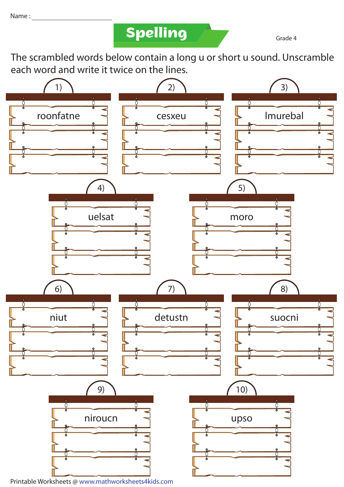**Spelling** 

Grade 4

The scrambled words below contain a long u or short u sound. Unscramble each word and write it twice on the lines.

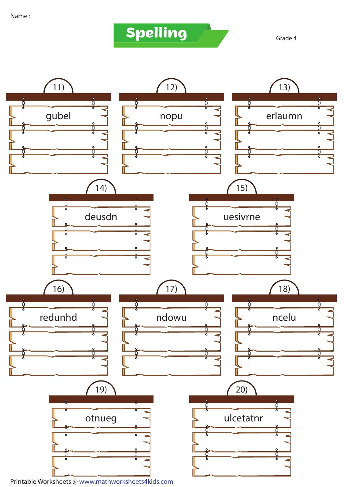## **Spelling Grade 4**

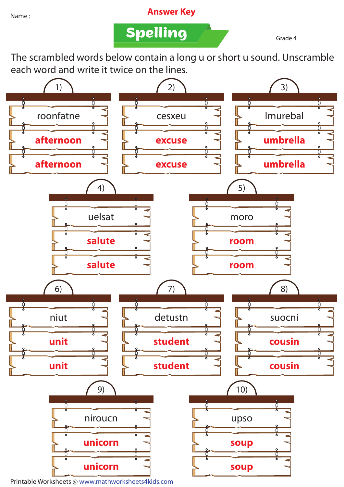## Name : **Answer Key**

**Spelling Grade 4** 

The scrambled words below contain a long u or short u sound. Unscramble each word and write it twice on the lines.



Printable Worksheets @ www.mathworksheets4kids.com